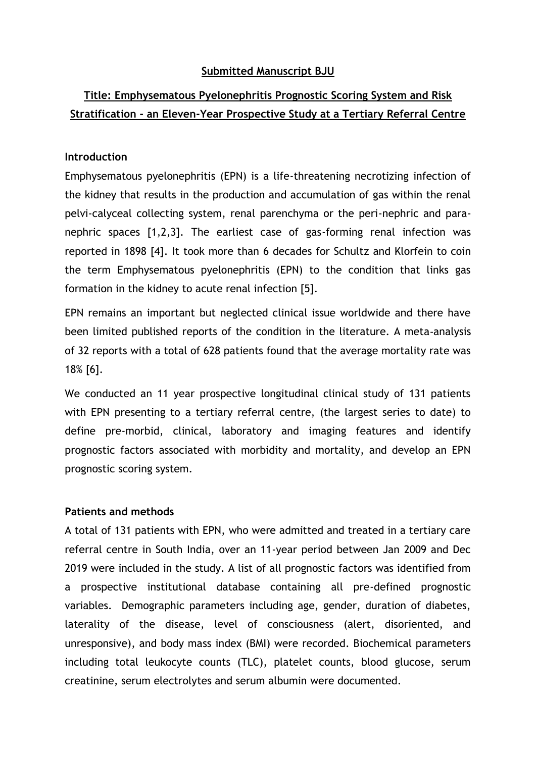## **Submitted Manuscript BJU**

## **Title: Emphysematous Pyelonephritis Prognostic Scoring System and Risk Stratification - an Eleven-Year Prospective Study at a Tertiary Referral Centre**

## **Introduction**

Emphysematous pyelonephritis (EPN) is a life-threatening necrotizing infection of the kidney that results in the production and accumulation of gas within the renal pelvi-calyceal collecting system, renal parenchyma or the peri-nephric and paranephric spaces [1,2,3]. The earliest case of gas-forming renal infection was reported in 1898 [4]. It took more than 6 decades for Schultz and Klorfein to coin the term Emphysematous pyelonephritis (EPN) to the condition that links gas formation in the kidney to acute renal infection [5].

EPN remains an important but neglected clinical issue worldwide and there have been limited published reports of the condition in the literature. A meta-analysis of 32 reports with a total of 628 patients found that the average mortality rate was 18% [6].

We conducted an 11 year prospective longitudinal clinical study of 131 patients with EPN presenting to a tertiary referral centre, (the largest series to date) to define pre-morbid, clinical, laboratory and imaging features and identify prognostic factors associated with morbidity and mortality, and develop an EPN prognostic scoring system.

### **Patients and methods**

A total of 131 patients with EPN, who were admitted and treated in a tertiary care referral centre in South India, over an 11-year period between Jan 2009 and Dec 2019 were included in the study. A list of all prognostic factors was identified from a prospective institutional database containing all pre-defined prognostic variables. Demographic parameters including age, gender, duration of diabetes, laterality of the disease, level of consciousness (alert, disoriented, and unresponsive), and body mass index (BMI) were recorded. Biochemical parameters including total leukocyte counts (TLC), platelet counts, blood glucose, serum creatinine, serum electrolytes and serum albumin were documented.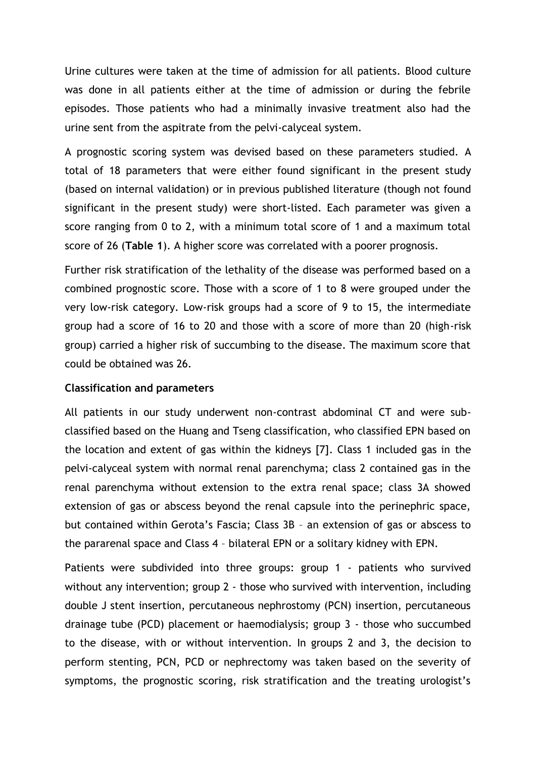Urine cultures were taken at the time of admission for all patients. Blood culture was done in all patients either at the time of admission or during the febrile episodes. Those patients who had a minimally invasive treatment also had the urine sent from the aspitrate from the pelvi-calyceal system.

A prognostic scoring system was devised based on these parameters studied. A total of 18 parameters that were either found significant in the present study (based on internal validation) or in previous published literature (though not found significant in the present study) were short-listed. Each parameter was given a score ranging from 0 to 2, with a minimum total score of 1 and a maximum total score of 26 (**Table 1**). A higher score was correlated with a poorer prognosis.

Further risk stratification of the lethality of the disease was performed based on a combined prognostic score. Those with a score of 1 to 8 were grouped under the very low-risk category. Low-risk groups had a score of 9 to 15, the intermediate group had a score of 16 to 20 and those with a score of more than 20 (high-risk group) carried a higher risk of succumbing to the disease. The maximum score that could be obtained was 26.

### **Classification and parameters**

All patients in our study underwent non-contrast abdominal CT and were subclassified based on the Huang and Tseng classification, who classified EPN based on the location and extent of gas within the kidneys [7]. Class 1 included gas in the pelvi-calyceal system with normal renal parenchyma; class 2 contained gas in the renal parenchyma without extension to the extra renal space; class 3A showed extension of gas or abscess beyond the renal capsule into the perinephric space, but contained within Gerota's Fascia; Class 3B – an extension of gas or abscess to the pararenal space and Class 4 – bilateral EPN or a solitary kidney with EPN.

Patients were subdivided into three groups: group 1 - patients who survived without any intervention; group 2 - those who survived with intervention, including double J stent insertion, percutaneous nephrostomy (PCN) insertion, percutaneous drainage tube (PCD) placement or haemodialysis; group 3 - those who succumbed to the disease, with or without intervention. In groups 2 and 3, the decision to perform stenting, PCN, PCD or nephrectomy was taken based on the severity of symptoms, the prognostic scoring, risk stratification and the treating urologist's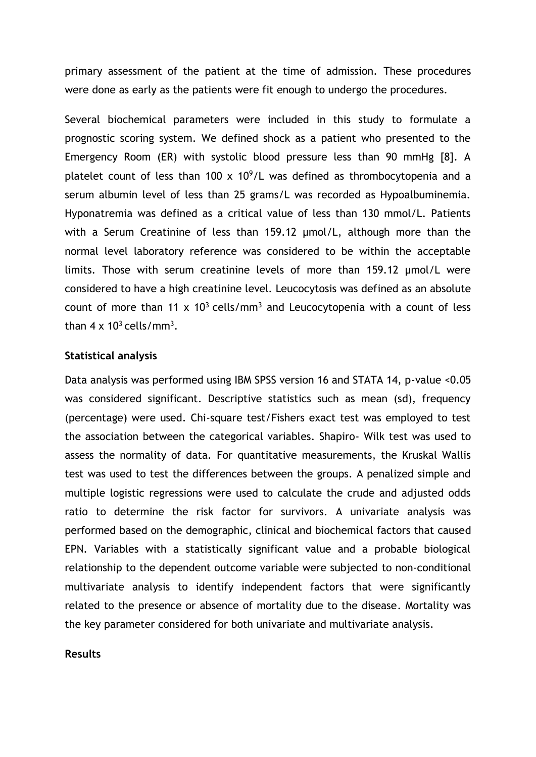primary assessment of the patient at the time of admission. These procedures were done as early as the patients were fit enough to undergo the procedures.

Several biochemical parameters were included in this study to formulate a prognostic scoring system. We defined shock as a patient who presented to the Emergency Room (ER) with systolic blood pressure less than 90 mmHg [8]. A platelet count of less than 100  $\times$  10<sup>9</sup>/L was defined as thrombocytopenia and a serum albumin level of less than 25 grams/L was recorded as Hypoalbuminemia. Hyponatremia was defined as a critical value of less than 130 mmol/L. Patients with a Serum Creatinine of less than 159.12 μmol/L, although more than the normal level laboratory reference was considered to be within the acceptable limits. Those with serum creatinine levels of more than 159.12 μmol/L were considered to have a high creatinine level. Leucocytosis was defined as an absolute count of more than 11 x  $10<sup>3</sup>$  cells/mm<sup>3</sup> and Leucocytopenia with a count of less than  $4 \times 10^3$  cells/mm<sup>3</sup>.

#### **Statistical analysis**

Data analysis was performed using IBM SPSS version 16 and STATA 14, p-value <0.05 was considered significant. Descriptive statistics such as mean (sd), frequency (percentage) were used. Chi-square test/Fishers exact test was employed to test the association between the categorical variables. Shapiro- Wilk test was used to assess the normality of data. For quantitative measurements, the Kruskal Wallis test was used to test the differences between the groups. A penalized simple and multiple logistic regressions were used to calculate the crude and adjusted odds ratio to determine the risk factor for survivors. A univariate analysis was performed based on the demographic, clinical and biochemical factors that caused EPN. Variables with a statistically significant value and a probable biological relationship to the dependent outcome variable were subjected to non-conditional multivariate analysis to identify independent factors that were significantly related to the presence or absence of mortality due to the disease. Mortality was the key parameter considered for both univariate and multivariate analysis.

#### **Results**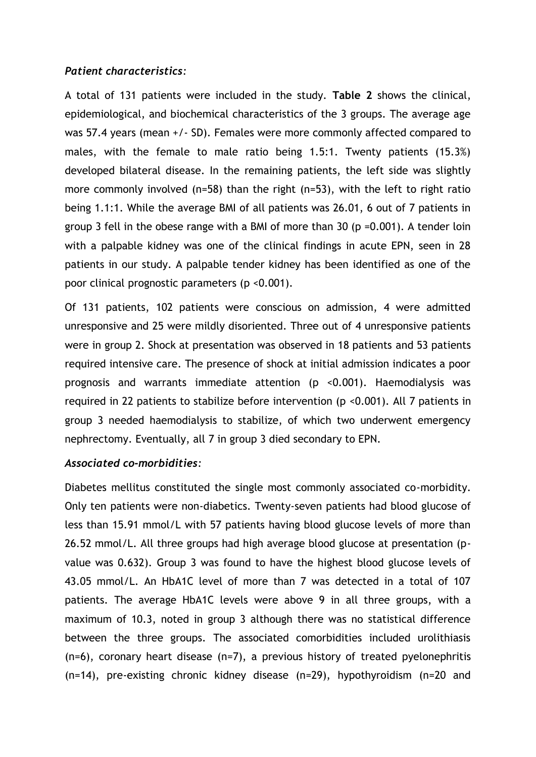### *Patient characteristics:*

A total of 131 patients were included in the study. **Table 2** shows the clinical, epidemiological, and biochemical characteristics of the 3 groups. The average age was 57.4 years (mean +/- SD). Females were more commonly affected compared to males, with the female to male ratio being 1.5:1. Twenty patients (15.3%) developed bilateral disease. In the remaining patients, the left side was slightly more commonly involved (n=58) than the right (n=53), with the left to right ratio being 1.1:1. While the average BMI of all patients was 26.01, 6 out of 7 patients in group 3 fell in the obese range with a BMI of more than 30 (p =0.001). A tender loin with a palpable kidney was one of the clinical findings in acute EPN, seen in 28 patients in our study. A palpable tender kidney has been identified as one of the poor clinical prognostic parameters (p <0.001).

Of 131 patients, 102 patients were conscious on admission, 4 were admitted unresponsive and 25 were mildly disoriented. Three out of 4 unresponsive patients were in group 2. Shock at presentation was observed in 18 patients and 53 patients required intensive care. The presence of shock at initial admission indicates a poor prognosis and warrants immediate attention (p <0.001). Haemodialysis was required in 22 patients to stabilize before intervention (p <0.001). All 7 patients in group 3 needed haemodialysis to stabilize, of which two underwent emergency nephrectomy. Eventually, all 7 in group 3 died secondary to EPN.

### *Associated co-morbidities:*

Diabetes mellitus constituted the single most commonly associated co-morbidity. Only ten patients were non-diabetics. Twenty-seven patients had blood glucose of less than 15.91 mmol/L with 57 patients having blood glucose levels of more than 26.52 mmol/L. All three groups had high average blood glucose at presentation (pvalue was 0.632). Group 3 was found to have the highest blood glucose levels of 43.05 mmol/L. An HbA1C level of more than 7 was detected in a total of 107 patients. The average HbA1C levels were above 9 in all three groups, with a maximum of 10.3, noted in group 3 although there was no statistical difference between the three groups. The associated comorbidities included urolithiasis (n=6), coronary heart disease (n=7), a previous history of treated pyelonephritis (n=14), pre-existing chronic kidney disease (n=29), hypothyroidism (n=20 and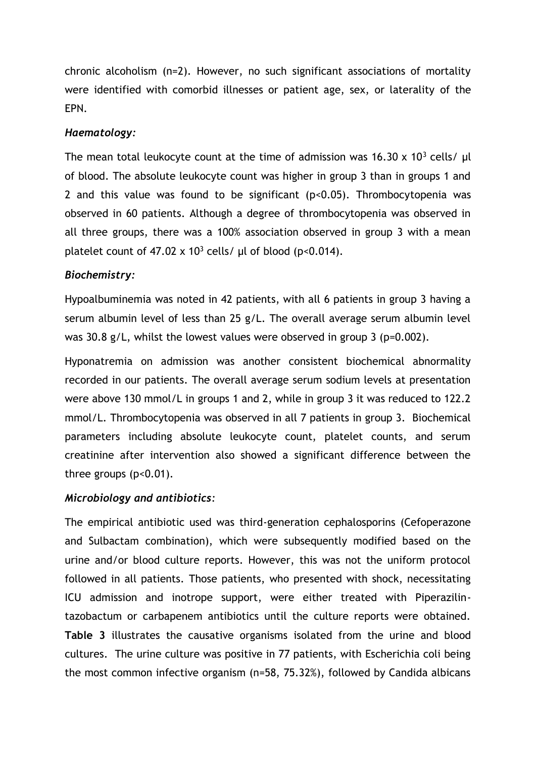chronic alcoholism (n=2). However, no such significant associations of mortality were identified with comorbid illnesses or patient age, sex, or laterality of the EPN.

### *Haematology:*

The mean total leukocyte count at the time of admission was  $16.30 \times 10^{3}$  cells/  $\mu$ l of blood. The absolute leukocyte count was higher in group 3 than in groups 1 and 2 and this value was found to be significant (p<0.05). Thrombocytopenia was observed in 60 patients. Although a degree of thrombocytopenia was observed in all three groups, there was a 100% association observed in group 3 with a mean platelet count of 47.02 x  $10^3$  cells/ μl of blood (p<0.014).

#### *Biochemistry:*

Hypoalbuminemia was noted in 42 patients, with all 6 patients in group 3 having a serum albumin level of less than 25 g/L. The overall average serum albumin level was 30.8 g/L, whilst the lowest values were observed in group 3 (p=0.002).

Hyponatremia on admission was another consistent biochemical abnormality recorded in our patients. The overall average serum sodium levels at presentation were above 130 mmol/L in groups 1 and 2, while in group 3 it was reduced to 122.2 mmol/L. Thrombocytopenia was observed in all 7 patients in group 3. Biochemical parameters including absolute leukocyte count, platelet counts, and serum creatinine after intervention also showed a significant difference between the three groups  $(p<0.01)$ .

## *Microbiology and antibiotics:*

The empirical antibiotic used was third-generation cephalosporins (Cefoperazone and Sulbactam combination), which were subsequently modified based on the urine and/or blood culture reports. However, this was not the uniform protocol followed in all patients. Those patients, who presented with shock, necessitating ICU admission and inotrope support, were either treated with Piperazilintazobactum or carbapenem antibiotics until the culture reports were obtained. **Table 3** illustrates the causative organisms isolated from the urine and blood cultures. The urine culture was positive in 77 patients, with Escherichia coli being the most common infective organism (n=58, 75.32%), followed by Candida albicans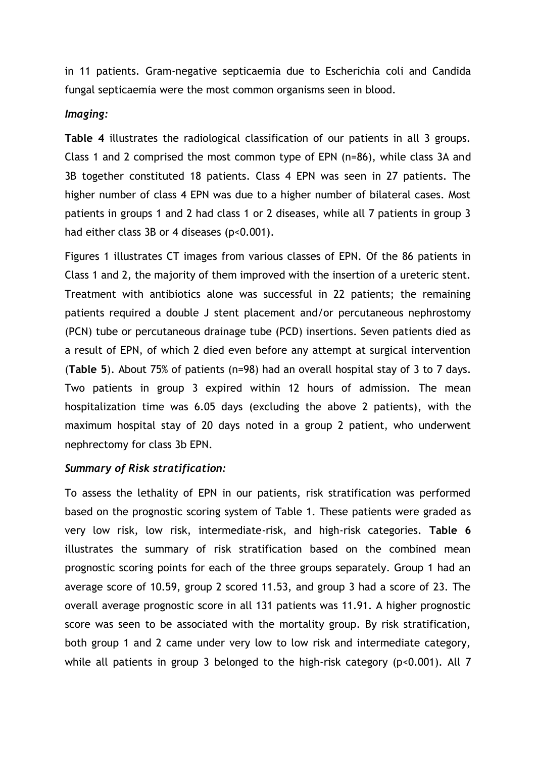in 11 patients. Gram-negative septicaemia due to Escherichia coli and Candida fungal septicaemia were the most common organisms seen in blood.

### *Imaging:*

**Table 4** illustrates the radiological classification of our patients in all 3 groups. Class 1 and 2 comprised the most common type of EPN (n=86), while class 3A and 3B together constituted 18 patients. Class 4 EPN was seen in 27 patients. The higher number of class 4 EPN was due to a higher number of bilateral cases. Most patients in groups 1 and 2 had class 1 or 2 diseases, while all 7 patients in group 3 had either class 3B or 4 diseases (p<0.001).

Figures 1 illustrates CT images from various classes of EPN. Of the 86 patients in Class 1 and 2, the majority of them improved with the insertion of a ureteric stent. Treatment with antibiotics alone was successful in 22 patients; the remaining patients required a double J stent placement and/or percutaneous nephrostomy (PCN) tube or percutaneous drainage tube (PCD) insertions. Seven patients died as a result of EPN, of which 2 died even before any attempt at surgical intervention (**Table 5**). About 75% of patients (n=98) had an overall hospital stay of 3 to 7 days. Two patients in group 3 expired within 12 hours of admission. The mean hospitalization time was 6.05 days (excluding the above 2 patients), with the maximum hospital stay of 20 days noted in a group 2 patient, who underwent nephrectomy for class 3b EPN.

## *Summary of Risk stratification:*

To assess the lethality of EPN in our patients, risk stratification was performed based on the prognostic scoring system of Table 1. These patients were graded as very low risk, low risk, intermediate-risk, and high-risk categories. **Table 6** illustrates the summary of risk stratification based on the combined mean prognostic scoring points for each of the three groups separately. Group 1 had an average score of 10.59, group 2 scored 11.53, and group 3 had a score of 23. The overall average prognostic score in all 131 patients was 11.91. A higher prognostic score was seen to be associated with the mortality group. By risk stratification, both group 1 and 2 came under very low to low risk and intermediate category, while all patients in group 3 belonged to the high-risk category (p<0.001). All 7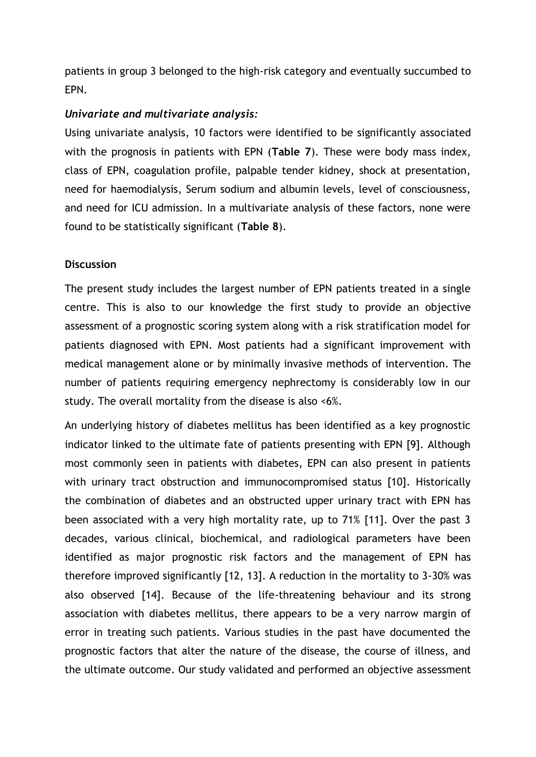patients in group 3 belonged to the high-risk category and eventually succumbed to EPN.

## *Univariate and multivariate analysis:*

Using univariate analysis, 10 factors were identified to be significantly associated with the prognosis in patients with EPN (**Table 7**). These were body mass index, class of EPN, coagulation profile, palpable tender kidney, shock at presentation, need for haemodialysis, Serum sodium and albumin levels, level of consciousness, and need for ICU admission. In a multivariate analysis of these factors, none were found to be statistically significant (**Table 8**).

## **Discussion**

The present study includes the largest number of EPN patients treated in a single centre. This is also to our knowledge the first study to provide an objective assessment of a prognostic scoring system along with a risk stratification model for patients diagnosed with EPN. Most patients had a significant improvement with medical management alone or by minimally invasive methods of intervention. The number of patients requiring emergency nephrectomy is considerably low in our study. The overall mortality from the disease is also <6%.

An underlying history of diabetes mellitus has been identified as a key prognostic indicator linked to the ultimate fate of patients presenting with EPN [9]. Although most commonly seen in patients with diabetes, EPN can also present in patients with urinary tract obstruction and immunocompromised status [10]. Historically the combination of diabetes and an obstructed upper urinary tract with EPN has been associated with a very high mortality rate, up to 71% [11]. Over the past 3 decades, various clinical, biochemical, and radiological parameters have been identified as major prognostic risk factors and the management of EPN has therefore improved significantly [12, 13]. A reduction in the mortality to 3-30% was also observed [14]. Because of the life-threatening behaviour and its strong association with diabetes mellitus, there appears to be a very narrow margin of error in treating such patients. Various studies in the past have documented the prognostic factors that alter the nature of the disease, the course of illness, and the ultimate outcome. Our study validated and performed an objective assessment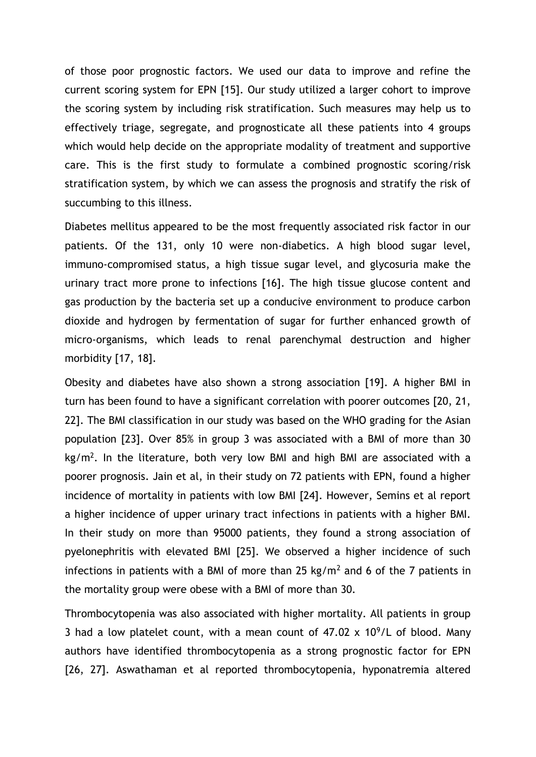of those poor prognostic factors. We used our data to improve and refine the current scoring system for EPN [15]. Our study utilized a larger cohort to improve the scoring system by including risk stratification. Such measures may help us to effectively triage, segregate, and prognosticate all these patients into 4 groups which would help decide on the appropriate modality of treatment and supportive care. This is the first study to formulate a combined prognostic scoring/risk stratification system, by which we can assess the prognosis and stratify the risk of succumbing to this illness.

Diabetes mellitus appeared to be the most frequently associated risk factor in our patients. Of the 131, only 10 were non-diabetics. A high blood sugar level, immuno-compromised status, a high tissue sugar level, and glycosuria make the urinary tract more prone to infections [16]. The high tissue glucose content and gas production by the bacteria set up a conducive environment to produce carbon dioxide and hydrogen by fermentation of sugar for further enhanced growth of micro-organisms, which leads to renal parenchymal destruction and higher morbidity [17, 18].

Obesity and diabetes have also shown a strong association [19]. A higher BMI in turn has been found to have a significant correlation with poorer outcomes [20, 21, 22]. The BMI classification in our study was based on the WHO grading for the Asian population [23]. Over 85% in group 3 was associated with a BMI of more than 30 kg/m<sup>2</sup>. In the literature, both very low BMI and high BMI are associated with a poorer prognosis. Jain et al, in their study on 72 patients with EPN, found a higher incidence of mortality in patients with low BMI [24]. However, Semins et al report a higher incidence of upper urinary tract infections in patients with a higher BMI. In their study on more than 95000 patients, they found a strong association of pyelonephritis with elevated BMI [25]. We observed a higher incidence of such infections in patients with a BMI of more than 25 kg/m<sup>2</sup> and 6 of the 7 patients in the mortality group were obese with a BMI of more than 30.

Thrombocytopenia was also associated with higher mortality. All patients in group 3 had a low platelet count, with a mean count of  $47.02 \times 10^9$ /L of blood. Many authors have identified thrombocytopenia as a strong prognostic factor for EPN [26, 27]. Aswathaman et al reported thrombocytopenia, hyponatremia altered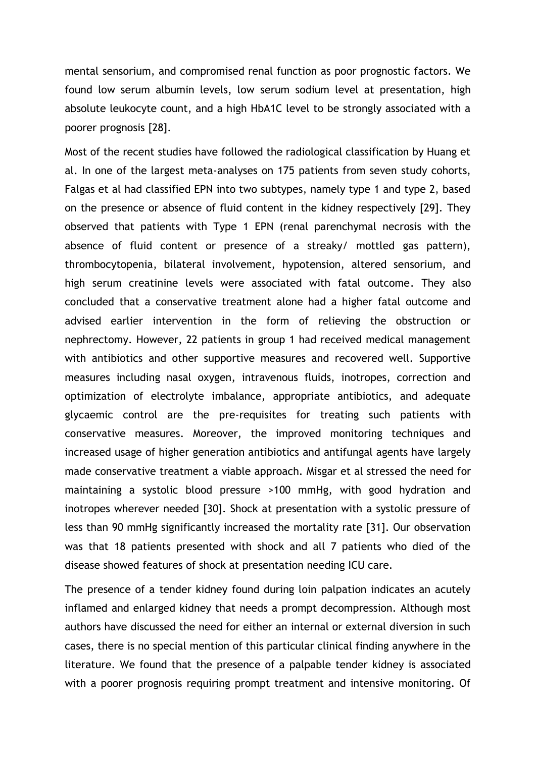mental sensorium, and compromised renal function as poor prognostic factors. We found low serum albumin levels, low serum sodium level at presentation, high absolute leukocyte count, and a high HbA1C level to be strongly associated with a poorer prognosis [28].

Most of the recent studies have followed the radiological classification by Huang et al. In one of the largest meta-analyses on 175 patients from seven study cohorts, Falgas et al had classified EPN into two subtypes, namely type 1 and type 2, based on the presence or absence of fluid content in the kidney respectively [29]. They observed that patients with Type 1 EPN (renal parenchymal necrosis with the absence of fluid content or presence of a streaky/ mottled gas pattern), thrombocytopenia, bilateral involvement, hypotension, altered sensorium, and high serum creatinine levels were associated with fatal outcome. They also concluded that a conservative treatment alone had a higher fatal outcome and advised earlier intervention in the form of relieving the obstruction or nephrectomy. However, 22 patients in group 1 had received medical management with antibiotics and other supportive measures and recovered well. Supportive measures including nasal oxygen, intravenous fluids, inotropes, correction and optimization of electrolyte imbalance, appropriate antibiotics, and adequate glycaemic control are the pre-requisites for treating such patients with conservative measures. Moreover, the improved monitoring techniques and increased usage of higher generation antibiotics and antifungal agents have largely made conservative treatment a viable approach. Misgar et al stressed the need for maintaining a systolic blood pressure >100 mmHg, with good hydration and inotropes wherever needed [30]. Shock at presentation with a systolic pressure of less than 90 mmHg significantly increased the mortality rate [31]. Our observation was that 18 patients presented with shock and all 7 patients who died of the disease showed features of shock at presentation needing ICU care.

The presence of a tender kidney found during loin palpation indicates an acutely inflamed and enlarged kidney that needs a prompt decompression. Although most authors have discussed the need for either an internal or external diversion in such cases, there is no special mention of this particular clinical finding anywhere in the literature. We found that the presence of a palpable tender kidney is associated with a poorer prognosis requiring prompt treatment and intensive monitoring. Of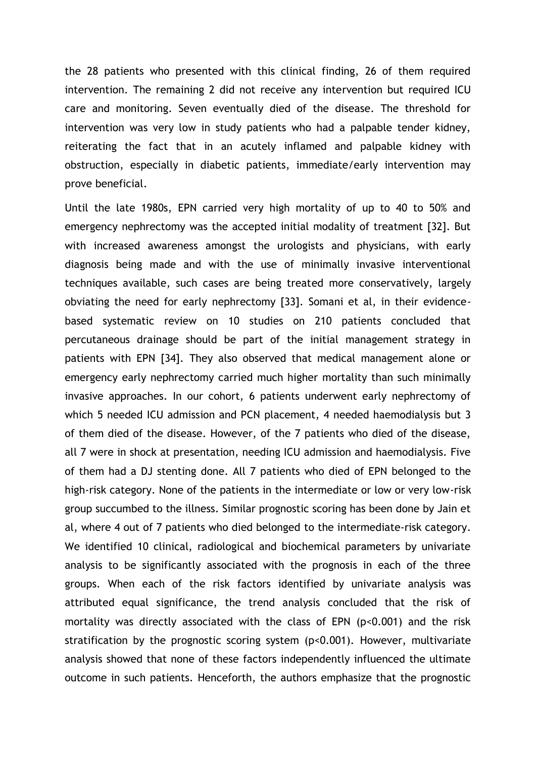the 28 patients who presented with this clinical finding, 26 of them required intervention. The remaining 2 did not receive any intervention but required ICU care and monitoring. Seven eventually died of the disease. The threshold for intervention was very low in study patients who had a palpable tender kidney, reiterating the fact that in an acutely inflamed and palpable kidney with obstruction, especially in diabetic patients, immediate/early intervention may prove beneficial.

Until the late 1980s, EPN carried very high mortality of up to 40 to 50% and emergency nephrectomy was the accepted initial modality of treatment [32]. But with increased awareness amongst the urologists and physicians, with early diagnosis being made and with the use of minimally invasive interventional techniques available, such cases are being treated more conservatively, largely obviating the need for early nephrectomy [33]. Somani et al, in their evidencebased systematic review on 10 studies on 210 patients concluded that percutaneous drainage should be part of the initial management strategy in patients with EPN [34]. They also observed that medical management alone or emergency early nephrectomy carried much higher mortality than such minimally invasive approaches. In our cohort, 6 patients underwent early nephrectomy of which 5 needed ICU admission and PCN placement, 4 needed haemodialysis but 3 of them died of the disease. However, of the 7 patients who died of the disease, all 7 were in shock at presentation, needing ICU admission and haemodialysis. Five of them had a DJ stenting done. All 7 patients who died of EPN belonged to the high-risk category. None of the patients in the intermediate or low or very low-risk group succumbed to the illness. Similar prognostic scoring has been done by Jain et al, where 4 out of 7 patients who died belonged to the intermediate-risk category. We identified 10 clinical, radiological and biochemical parameters by univariate analysis to be significantly associated with the prognosis in each of the three groups. When each of the risk factors identified by univariate analysis was attributed equal significance, the trend analysis concluded that the risk of mortality was directly associated with the class of EPN (p<0.001) and the risk stratification by the prognostic scoring system (p<0.001). However, multivariate analysis showed that none of these factors independently influenced the ultimate outcome in such patients. Henceforth, the authors emphasize that the prognostic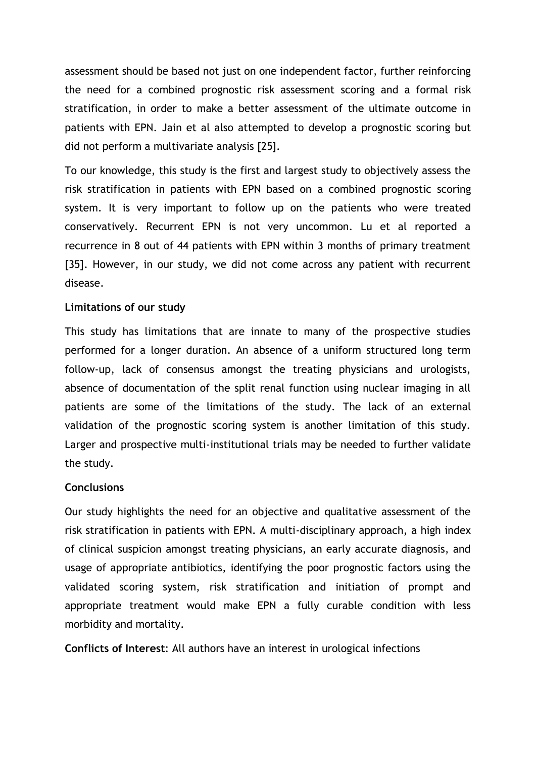assessment should be based not just on one independent factor, further reinforcing the need for a combined prognostic risk assessment scoring and a formal risk stratification, in order to make a better assessment of the ultimate outcome in patients with EPN. Jain et al also attempted to develop a prognostic scoring but did not perform a multivariate analysis [25].

To our knowledge, this study is the first and largest study to objectively assess the risk stratification in patients with EPN based on a combined prognostic scoring system. It is very important to follow up on the patients who were treated conservatively. Recurrent EPN is not very uncommon. Lu et al reported a recurrence in 8 out of 44 patients with EPN within 3 months of primary treatment [35]. However, in our study, we did not come across any patient with recurrent disease.

### **Limitations of our study**

This study has limitations that are innate to many of the prospective studies performed for a longer duration. An absence of a uniform structured long term follow-up, lack of consensus amongst the treating physicians and urologists, absence of documentation of the split renal function using nuclear imaging in all patients are some of the limitations of the study. The lack of an external validation of the prognostic scoring system is another limitation of this study. Larger and prospective multi-institutional trials may be needed to further validate the study.

### **Conclusions**

Our study highlights the need for an objective and qualitative assessment of the risk stratification in patients with EPN. A multi-disciplinary approach, a high index of clinical suspicion amongst treating physicians, an early accurate diagnosis, and usage of appropriate antibiotics, identifying the poor prognostic factors using the validated scoring system, risk stratification and initiation of prompt and appropriate treatment would make EPN a fully curable condition with less morbidity and mortality.

**Conflicts of Interest**: All authors have an interest in urological infections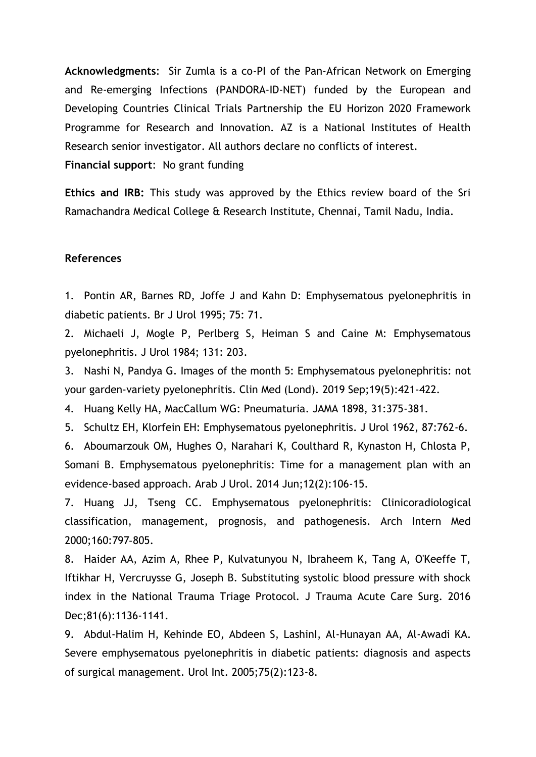**Acknowledgments**: Sir Zumla is a co-PI of the Pan-African Network on Emerging and Re-emerging Infections (PANDORA-ID-NET) funded by the European and Developing Countries Clinical Trials Partnership the EU Horizon 2020 Framework Programme for Research and Innovation. AZ is a National Institutes of Health Research senior investigator. All authors declare no conflicts of interest. **Financial support**: No grant funding

**Ethics and IRB:** This study was approved by the Ethics review board of the Sri Ramachandra Medical College & Research Institute, Chennai, Tamil Nadu, India.

#### **References**

1. Pontin AR, Barnes RD, Joffe J and Kahn D: Emphysematous pyelonephritis in diabetic patients. Br J Urol 1995; 75: 71.

2. Michaeli J, Mogle P, Perlberg S, Heiman S and Caine M: Emphysematous pyelonephritis. J Urol 1984; 131: 203.

3. Nashi N, Pandya G. Images of the month 5: Emphysematous pyelonephritis: not your garden-variety pyelonephritis. Clin Med (Lond). 2019 Sep;19(5):421-422.

4. Huang Kelly HA, MacCallum WG: Pneumaturia. JAMA 1898, 31:375-381.

5. Schultz EH, Klorfein EH: Emphysematous pyelonephritis. J Urol 1962, 87:762-6.

6. Aboumarzouk OM, Hughes O, Narahari K, Coulthard R, Kynaston H, Chlosta P, Somani B. Emphysematous pyelonephritis: Time for a management plan with an evidence-based approach. Arab J Urol. 2014 Jun;12(2):106-15.

7. Huang JJ, Tseng CC. Emphysematous pyelonephritis: Clinicoradiological classification, management, prognosis, and pathogenesis. Arch Intern Med 2000;160:797‑805.

8. Haider AA, Azim A, Rhee P, Kulvatunyou N, Ibraheem K, Tang A, O'Keeffe T, Iftikhar H, Vercruysse G, Joseph B. Substituting systolic blood pressure with shock index in the National Trauma Triage Protocol. J Trauma Acute Care Surg. 2016 Dec;81(6):1136-1141.

9. Abdul-Halim H, Kehinde EO, Abdeen S, LashinI, Al-Hunayan AA, Al-Awadi KA. Severe emphysematous pyelonephritis in diabetic patients: diagnosis and aspects of surgical management. Urol Int. 2005;75(2):123-8.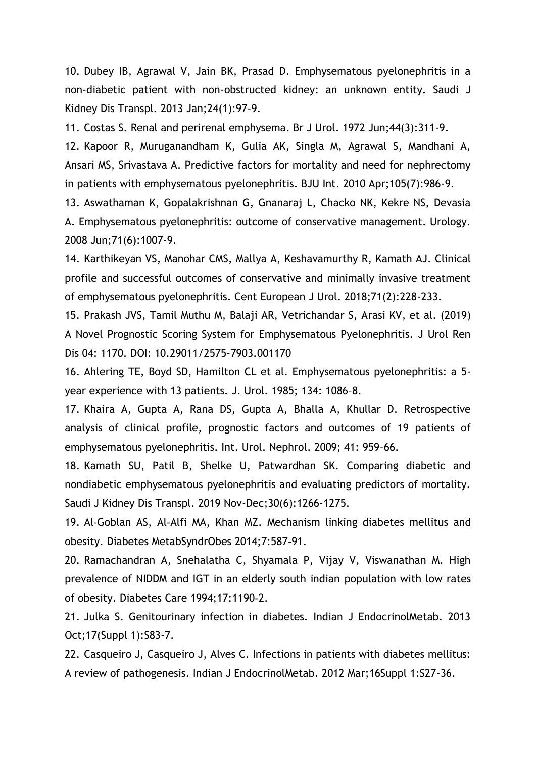10. Dubey IB, Agrawal V, Jain BK, Prasad D. Emphysematous pyelonephritis in a non-diabetic patient with non-obstructed kidney: an unknown entity. Saudi J Kidney Dis Transpl. 2013 Jan;24(1):97-9.

11. Costas S. Renal and perirenal emphysema. Br J Urol. 1972 Jun;44(3):311-9.

12. Kapoor R, Muruganandham K, Gulia AK, Singla M, Agrawal S, Mandhani A, Ansari MS, Srivastava A. Predictive factors for mortality and need for nephrectomy in patients with emphysematous pyelonephritis. BJU Int. 2010 Apr;105(7):986-9.

13. Aswathaman K, Gopalakrishnan G, Gnanaraj L, Chacko NK, Kekre NS, Devasia A. Emphysematous pyelonephritis: outcome of conservative management. Urology. 2008 Jun;71(6):1007-9.

14. Karthikeyan VS, Manohar CMS, Mallya A, Keshavamurthy R, Kamath AJ. Clinical profile and successful outcomes of conservative and minimally invasive treatment of emphysematous pyelonephritis. Cent European J Urol. 2018;71(2):228-233.

15. Prakash JVS, Tamil Muthu M, Balaji AR, Vetrichandar S, Arasi KV, et al. (2019) A Novel Prognostic Scoring System for Emphysematous Pyelonephritis. J Urol Ren Dis 04: 1170. DOI: 10.29011/2575-7903.001170

16. Ahlering TE, Boyd SD, Hamilton CL et al. Emphysematous pyelonephritis: a 5 year experience with 13 patients. J. Urol. 1985; 134: 1086–8.

17. Khaira A, Gupta A, Rana DS, Gupta A, Bhalla A, Khullar D. Retrospective analysis of clinical profile, prognostic factors and outcomes of 19 patients of emphysematous pyelonephritis. Int. Urol. Nephrol. 2009; 41: 959–66.

18. Kamath SU, Patil B, Shelke U, Patwardhan SK. Comparing diabetic and nondiabetic emphysematous pyelonephritis and evaluating predictors of mortality. Saudi J Kidney Dis Transpl. 2019 Nov-Dec;30(6):1266-1275.

19. Al‑Goblan AS, Al‑Alfi MA, Khan MZ. Mechanism linking diabetes mellitus and obesity. Diabetes MetabSyndrObes 2014;7:587‑91.

20. Ramachandran A, Snehalatha C, Shyamala P, Vijay V, Viswanathan M. High prevalence of NIDDM and IGT in an elderly south indian population with low rates of obesity. Diabetes Care 1994;17:1190‑2.

21. Julka S. Genitourinary infection in diabetes. Indian J EndocrinolMetab. 2013 Oct;17(Suppl 1):S83-7.

22. Casqueiro J, Casqueiro J, Alves C. Infections in patients with diabetes mellitus: A review of pathogenesis. Indian J EndocrinolMetab. 2012 Mar;16Suppl 1:S27-36.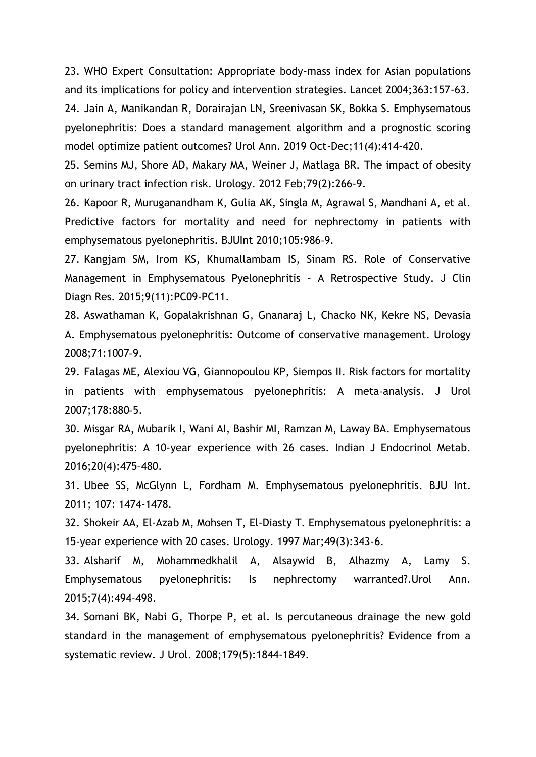23. WHO Expert Consultation: Appropriate body-mass index for Asian populations and its implications for policy and intervention strategies. Lancet 2004;363:157-63.

24. Jain A, Manikandan R, Dorairajan LN, Sreenivasan SK, Bokka S. Emphysematous pyelonephritis: Does a standard management algorithm and a prognostic scoring model optimize patient outcomes? Urol Ann. 2019 Oct-Dec;11(4):414-420.

25. Semins MJ, Shore AD, Makary MA, Weiner J, Matlaga BR. The impact of obesity on urinary tract infection risk. Urology. 2012 Feb;79(2):266-9.

26. Kapoor R, Muruganandham K, Gulia AK, Singla M, Agrawal S, Mandhani A, et al. Predictive factors for mortality and need for nephrectomy in patients with emphysematous pyelonephritis. BJUInt 2010;105:986‑9.

27. Kangjam SM, Irom KS, Khumallambam IS, Sinam RS. Role of Conservative Management in Emphysematous Pyelonephritis - A Retrospective Study. J Clin Diagn Res. 2015;9(11):PC09‐PC11.

28. Aswathaman K, Gopalakrishnan G, Gnanaraj L, Chacko NK, Kekre NS, Devasia A. Emphysematous pyelonephritis: Outcome of conservative management. Urology 2008;71:1007‑9.

29. Falagas ME, Alexiou VG, Giannopoulou KP, Siempos II. Risk factors for mortality in patients with emphysematous pyelonephritis: A meta-analysis. J Urol 2007;178:880‑5.

30. Misgar RA, Mubarik I, Wani AI, Bashir MI, Ramzan M, Laway BA. Emphysematous pyelonephritis: A 10-year experience with 26 cases. Indian J Endocrinol Metab. 2016;20(4):475–480.

31. Ubee SS, McGlynn L, Fordham M. Emphysematous pyelonephritis. BJU Int. 2011; 107: 1474-1478.

32. Shokeir AA, El-Azab M, Mohsen T, El-Diasty T. Emphysematous pyelonephritis: a 15-year experience with 20 cases. Urology. 1997 Mar;49(3):343-6.

33. Alsharif M, Mohammedkhalil A, Alsaywid B, Alhazmy A, Lamy S. Emphysematous pyelonephritis: Is nephrectomy warranted?.Urol Ann. 2015;7(4):494–498.

34. Somani BK, Nabi G, Thorpe P, et al. Is percutaneous drainage the new gold standard in the management of emphysematous pyelonephritis? Evidence from a systematic review. J Urol. 2008;179(5):1844‐1849.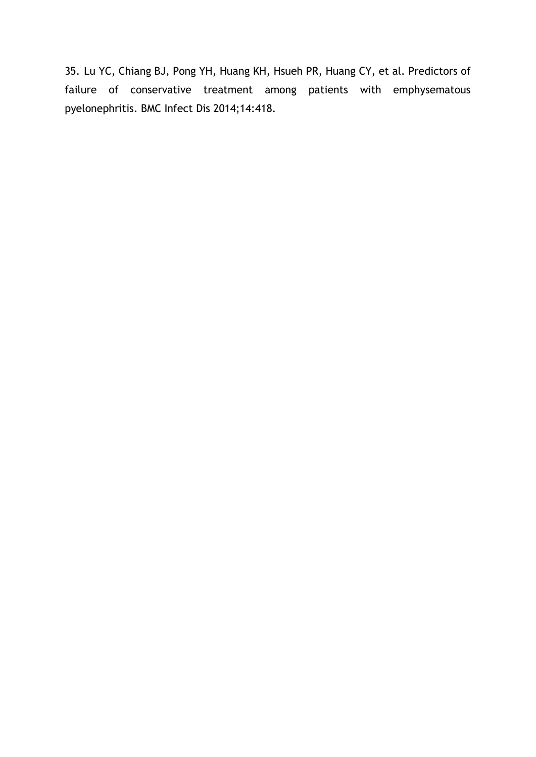35. Lu YC, Chiang BJ, Pong YH, Huang KH, Hsueh PR, Huang CY, et al. Predictors of failure of conservative treatment among patients with emphysematous pyelonephritis. BMC Infect Dis 2014;14:418.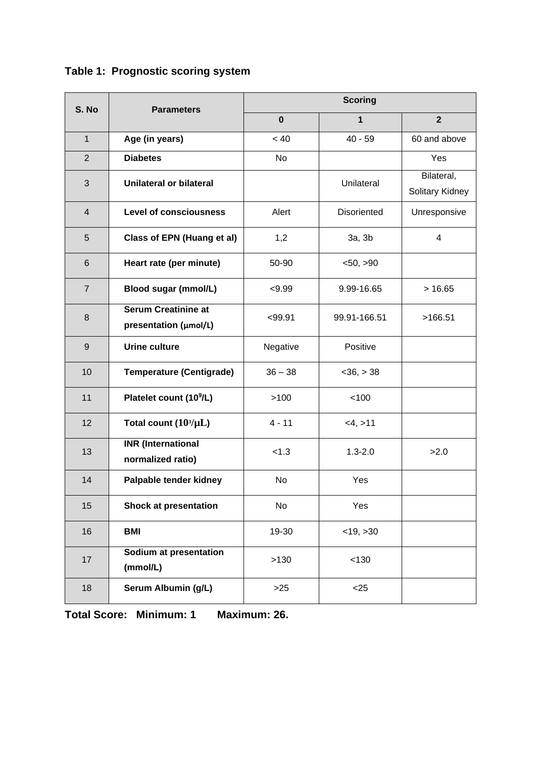| S. No          | <b>Parameters</b>                                   | <b>Scoring</b> |                    |                               |  |
|----------------|-----------------------------------------------------|----------------|--------------------|-------------------------------|--|
|                |                                                     | $\bf{0}$       | 1                  | $\mathbf{2}$                  |  |
| $\mathbf{1}$   | Age (in years)                                      | < 40           | $40 - 59$          | 60 and above                  |  |
| $\overline{2}$ | <b>Diabetes</b>                                     | No             |                    | Yes                           |  |
| 3              | Unilateral or bilateral                             |                | Unilateral         | Bilateral,<br>Solitary Kidney |  |
| 4              | <b>Level of consciousness</b>                       | Alert          | <b>Disoriented</b> | Unresponsive                  |  |
| 5              | Class of EPN (Huang et al)                          | 1,2            | 3a, 3b             | 4                             |  |
| 6              | Heart rate (per minute)                             | 50-90          | < 50, > 90         |                               |  |
| $\overline{7}$ | <b>Blood sugar (mmol/L)</b>                         | < 9.99         | 9.99-16.65         | >16.65                        |  |
| 8              | <b>Serum Creatinine at</b><br>presentation (µmol/L) | < 99.91        | 99.91-166.51       | >166.51                       |  |
| 9              | <b>Urine culture</b>                                | Negative       | Positive           |                               |  |
| 10             | <b>Temperature (Centigrade)</b>                     | $36 - 38$      | $<$ 36, $>$ 38     |                               |  |
| 11             | Platelet count (10 <sup>9</sup> /L)                 | >100           | 100                |                               |  |
| 12             | Total count $(10^3/\mu L)$                          | $4 - 11$       | <4, >11            |                               |  |
| 13             | <b>INR</b> (International<br>normalized ratio)      | < 1.3          | $1.3 - 2.0$        | >2.0                          |  |
| 14             | Palpable tender kidney                              | <b>No</b>      | Yes                |                               |  |
| 15             | <b>Shock at presentation</b>                        | <b>No</b>      | Yes                |                               |  |
| 16             | <b>BMI</b>                                          | 19-30          | $<$ 19, $>$ 30     |                               |  |
| 17             | Sodium at presentation<br>(mmol/L)                  | >130           | < 130              |                               |  |
| 18             | Serum Albumin (g/L)                                 | $>25$          | $<$ 25             |                               |  |

## **Table 1: Prognostic scoring system**

**Total Score: Minimum: 1 Maximum: 26.**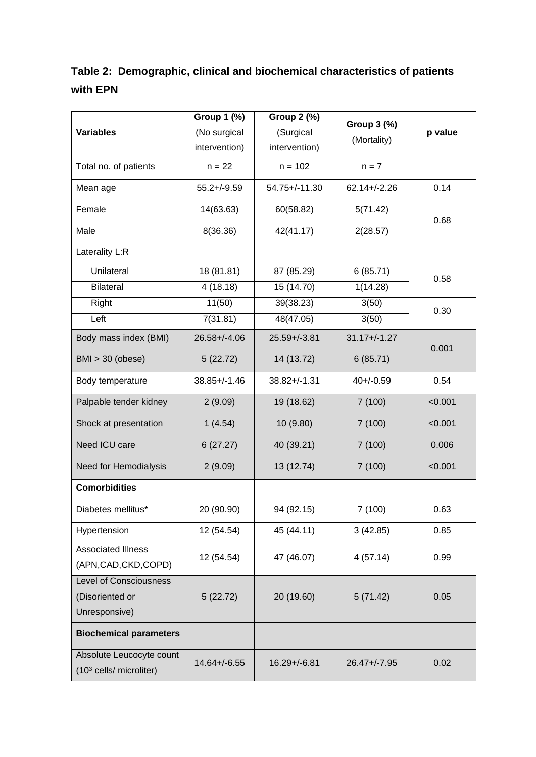## **Table 2: Demographic, clinical and biochemical characteristics of patients with EPN**

|                                                                 | <b>Group 1 (%)</b> | Group 2 (%)        | Group 3 (%)            | p value |  |
|-----------------------------------------------------------------|--------------------|--------------------|------------------------|---------|--|
| <b>Variables</b>                                                | (No surgical       | (Surgical          |                        |         |  |
|                                                                 | intervention)      | intervention)      | (Mortality)            |         |  |
| Total no. of patients                                           | $n = 22$           | $n = 102$          | $n = 7$                |         |  |
| Mean age                                                        | $55.2 + (-9.59)$   | $54.75 + (-11.30)$ | $62.14 + (-2.26)$      | 0.14    |  |
| Female                                                          | 14(63.63)          | 60(58.82)          | 5(71.42)               | 0.68    |  |
| Male                                                            | 8(36.36)           | 42(41.17)          | 2(28.57)               |         |  |
| Laterality L:R                                                  |                    |                    |                        |         |  |
| Unilateral                                                      | 18 (81.81)         | 87 (85.29)         | $\overline{6}$ (85.71) | 0.58    |  |
| <b>Bilateral</b>                                                | 4(18.18)           | 15 (14.70)         | 1(14.28)               |         |  |
| Right                                                           | 11(50)             | 39(38.23)          | 3(50)                  | 0.30    |  |
| Left                                                            | 7(31.81)           | 48(47.05)          | 3(50)                  |         |  |
| Body mass index (BMI)                                           | $26.58 + (-4.06)$  | $25.59 + (-3.81)$  | $31.17 + (-1.27)$      | 0.001   |  |
| BMI > 30 (obese)                                                | 5(22.72)           | 14 (13.72)         | 6(85.71)               |         |  |
| Body temperature                                                | $38.85 + / - 1.46$ | $38.82 + / - 1.31$ | $40 + (-0.59)$         | 0.54    |  |
| Palpable tender kidney                                          | 2(9.09)            | 19 (18.62)         | 7(100)                 | < 0.001 |  |
| Shock at presentation                                           | 1(4.54)            | 10 (9.80)          | 7(100)                 | < 0.001 |  |
| Need ICU care                                                   | 6(27.27)           | 40 (39.21)         | 7(100)                 | 0.006   |  |
| Need for Hemodialysis                                           | 2(9.09)            | 13 (12.74)         | 7(100)                 | < 0.001 |  |
| <b>Comorbidities</b>                                            |                    |                    |                        |         |  |
| Diabetes mellitus*                                              | 20 (90.90)         | 94 (92.15)         | 7(100)                 | 0.63    |  |
| Hypertension                                                    | 12 (54.54)         | 45 (44.11)         | 3(42.85)               | 0.85    |  |
| <b>Associated Illness</b><br>(APN, CAD, CKD, COPD)              | 12 (54.54)         | 47 (46.07)         | 4(57.14)               | 0.99    |  |
| <b>Level of Consciousness</b>                                   |                    |                    |                        |         |  |
| (Disoriented or                                                 | 5(22.72)           | 20 (19.60)         | 5(71.42)               | 0.05    |  |
| Unresponsive)                                                   |                    |                    |                        |         |  |
| <b>Biochemical parameters</b>                                   |                    |                    |                        |         |  |
| Absolute Leucocyte count<br>(10 <sup>3</sup> cells/ microliter) | $14.64 + (-6.55)$  | $16.29 + (-6.81)$  | 26.47+/-7.95           | 0.02    |  |
|                                                                 |                    |                    |                        |         |  |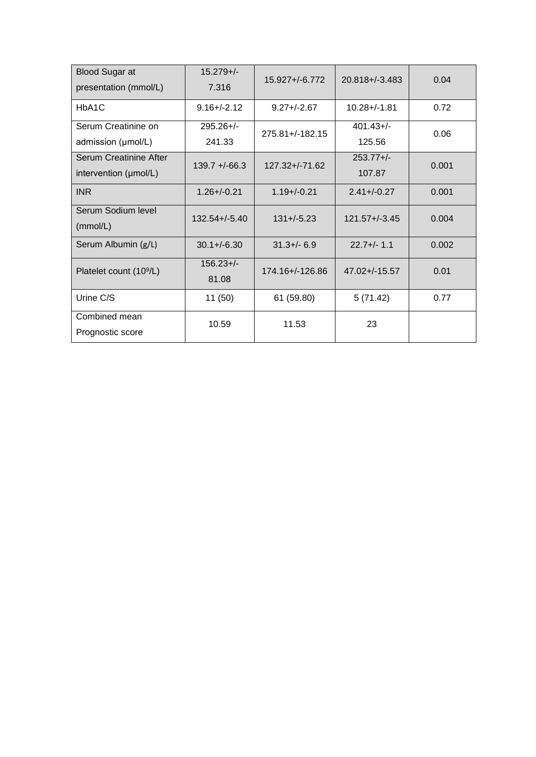| <b>Blood Sugar at</b><br>presentation (mmol/L)         | $15.279 +/-$<br>7.316  | $15.927 + (-6.772)$ | $20.818 + (-3.483)$    | 0.04  |
|--------------------------------------------------------|------------------------|---------------------|------------------------|-------|
| HbA <sub>1</sub> C                                     | $9.16 + (-2.12)$       | $9.27 + (-2.67)$    | $10.28 + (-1.81)$      | 0.72  |
| Serum Creatinine on<br>admission (µmol/L)              | $295.26 +/-$<br>241.33 | $275.81 + (-182.15$ | $401.43+/-$<br>125.56  | 0.06  |
| <b>Serum Creatinine After</b><br>intervention (µmol/L) | $139.7 + -66.3$        | $127.32 + (-71.62)$ | $253.77 +/-$<br>107.87 | 0.001 |
| <b>INR</b>                                             | $1.26 + (-0.21)$       | $1.19 + -0.21$      | $2.41 + (-0.27)$       | 0.001 |
| Serum Sodium level<br>(mmol/L)                         | $132.54 + (-5.40)$     | $131 + (-5.23)$     | $121.57 + (-3.45)$     | 0.004 |
| Serum Albumin (g/L)                                    | $30.1 + (-6.30)$       | $31.3 + (-6.9)$     | $22.7 +/- 1.1$         | 0.002 |
| Platelet count (10 <sup>9</sup> /L)                    | $156.23 +/-$<br>81.08  | 174.16+/-126.86     | $47.02 + (-15.57)$     | 0.01  |
| Urine C/S                                              | 11(50)                 | 61 (59.80)          | 5(71.42)               | 0.77  |
| Combined mean<br>Prognostic score                      | 10.59                  | 11.53               | 23                     |       |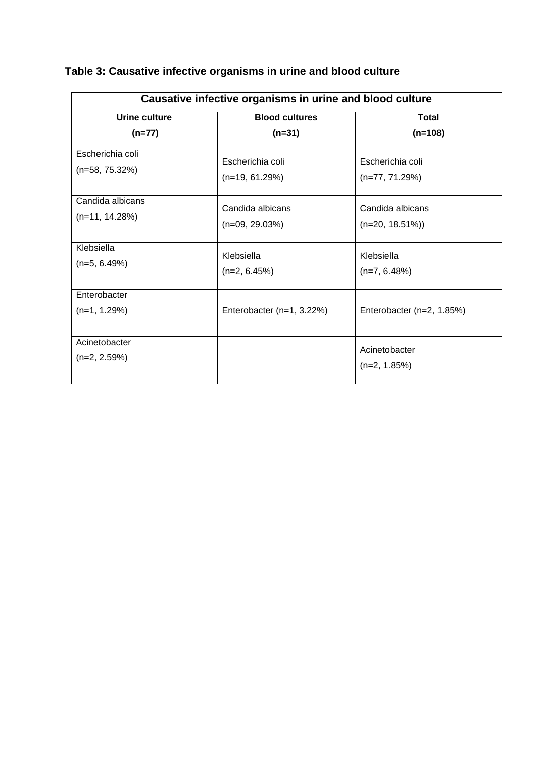| Causative infective organisms in urine and blood culture |                           |                                 |  |  |
|----------------------------------------------------------|---------------------------|---------------------------------|--|--|
| Urine culture                                            | <b>Blood cultures</b>     | <b>Total</b>                    |  |  |
| $(n=77)$                                                 | $(n=31)$                  | $(n=108)$                       |  |  |
| Escherichia coli                                         | Escherichia coli          | Escherichia coli                |  |  |
| $(n=58, 75.32%)$                                         | $(n=19, 61.29%)$          | $(n=77, 71.29%)$                |  |  |
| Candida albicans                                         | Candida albicans          | Candida albicans                |  |  |
| $(n=11, 14.28%)$                                         | $(n=09, 29.03%)$          | $(n=20, 18.51\%)$               |  |  |
| Klebsiella                                               | Klebsiella                | Klebsiella                      |  |  |
| $(n=5, 6.49%)$                                           | $(n=2, 6.45%)$            | $(n=7, 6.48\%)$                 |  |  |
| Enterobacter<br>$(n=1, 1.29%)$                           | Enterobacter (n=1, 3.22%) | Enterobacter (n=2, 1.85%)       |  |  |
| Acinetobacter<br>$(n=2, 2.59%)$                          |                           | Acinetobacter<br>$(n=2, 1.85%)$ |  |  |

# **Table 3: Causative infective organisms in urine and blood culture**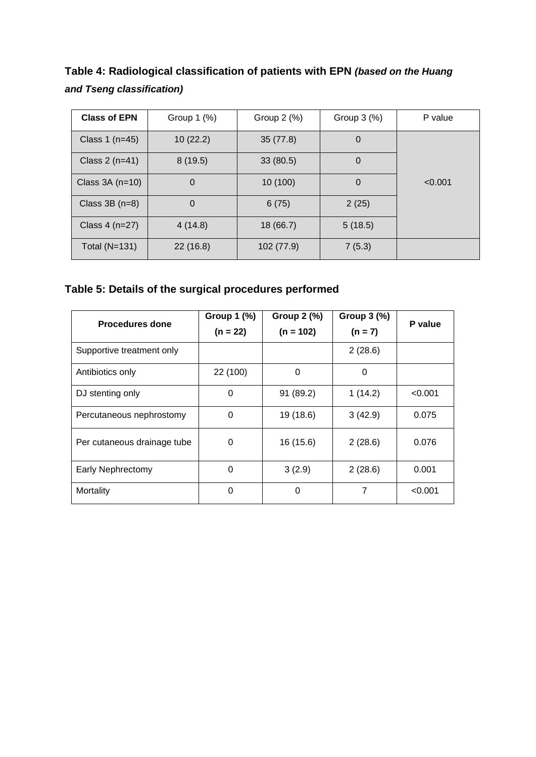**Table 4: Radiological classification of patients with EPN** *(based on the Huang and Tseng classification)*

| <b>Class of EPN</b>          | Group $1$ $(\%)$ | Group $2$ $(\%)$ | Group $3$ $%$ ) | P value |
|------------------------------|------------------|------------------|-----------------|---------|
| 10(22.2)<br>Class 1 $(n=45)$ |                  | 35(77.8)         | $\overline{0}$  |         |
| Class $2(n=41)$              | 8(19.5)          | 33(80.5)         | 0               |         |
| Class $3A(n=10)$             | $\mathbf 0$      | 10 (100)         | $\overline{0}$  | < 0.001 |
| Class $3B(n=8)$              | $\mathbf 0$      | 6(75)            | 2(25)           |         |
| Class $4(n=27)$              | 4(14.8)          | 18(66.7)         | 5(18.5)         |         |
| Total $(N=131)$              | 22(16.8)         | 102 (77.9)       | 7(5.3)          |         |

**Table 5: Details of the surgical procedures performed**

| Procedures done             | Group 1 (%)<br>$(n = 22)$ | Group $2$ (%)<br>$(n = 102)$ | Group 3 (%)<br>$(n = 7)$ | P value |
|-----------------------------|---------------------------|------------------------------|--------------------------|---------|
| Supportive treatment only   |                           |                              | 2(28.6)                  |         |
| Antibiotics only            | 22 (100)                  | $\mathbf 0$                  | $\Omega$                 |         |
| DJ stenting only            | 0                         | 91 (89.2)                    | 1(14.2)                  | < 0.001 |
| Percutaneous nephrostomy    | 0                         | 19 (18.6)                    | 3(42.9)                  | 0.075   |
| Per cutaneous drainage tube | 0                         | 16 (15.6)                    | 2(28.6)                  | 0.076   |
| <b>Early Nephrectomy</b>    | $\mathbf 0$               | 3(2.9)                       | 2(28.6)                  | 0.001   |
| Mortality                   | 0                         | $\mathbf 0$                  | 7                        | < 0.001 |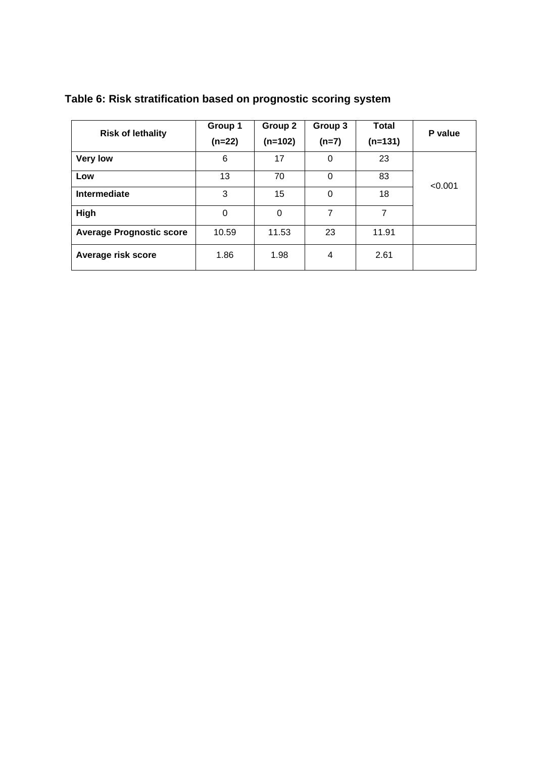|                                 | Group 1  | Group 2   | Group 3 | <b>Total</b> | P value |
|---------------------------------|----------|-----------|---------|--------------|---------|
| <b>Risk of lethality</b>        | $(n=22)$ | $(n=102)$ | $(n=7)$ | $(n=131)$    |         |
| <b>Very low</b>                 | 6        | 17        | 0       | 23           |         |
| Low                             | 13       | 70        | 0       | 83           | < 0.001 |
| Intermediate                    | 3        | 15        | 0       | 18           |         |
| High                            | 0        | 0         | 7       | 7            |         |
| <b>Average Prognostic score</b> | 10.59    | 11.53     | 23      | 11.91        |         |
| Average risk score              | 1.86     | 1.98      | 4       | 2.61         |         |

## **Table 6: Risk stratification based on prognostic scoring system**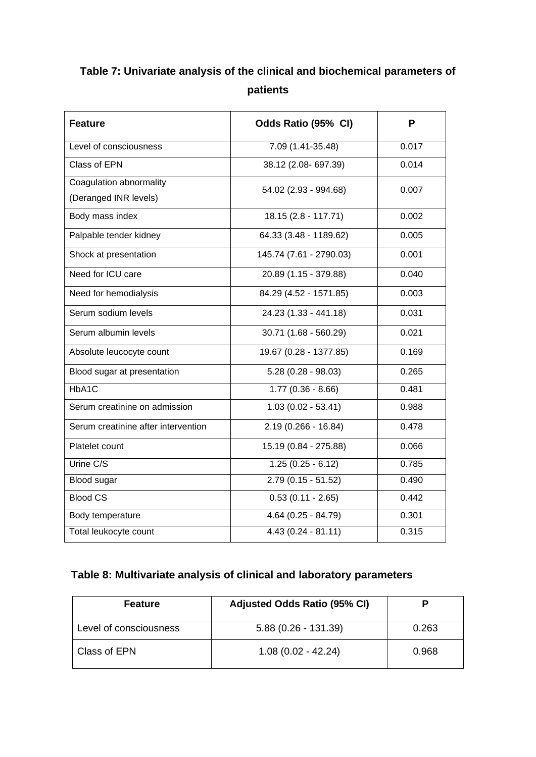# **Table 7: Univariate analysis of the clinical and biochemical parameters of patients**

| <b>Feature</b>                                   | Odds Ratio (95% CI)     | P     |
|--------------------------------------------------|-------------------------|-------|
| Level of consciousness                           | 7.09 (1.41-35.48)       | 0.017 |
| Class of EPN                                     | 38.12 (2.08-697.39)     | 0.014 |
| Coagulation abnormality<br>(Deranged INR levels) | 54.02 (2.93 - 994.68)   | 0.007 |
| Body mass index                                  | 18.15 (2.8 - 117.71)    | 0.002 |
| Palpable tender kidney                           | 64.33 (3.48 - 1189.62)  | 0.005 |
| Shock at presentation                            | 145.74 (7.61 - 2790.03) | 0.001 |
| Need for ICU care                                | 20.89 (1.15 - 379.88)   | 0.040 |
| Need for hemodialysis                            | 84.29 (4.52 - 1571.85)  | 0.003 |
| Serum sodium levels                              | 24.23 (1.33 - 441.18)   | 0.031 |
| Serum albumin levels                             | $30.71(1.68 - 560.29)$  | 0.021 |
| Absolute leucocyte count                         | 19.67 (0.28 - 1377.85)  | 0.169 |
| Blood sugar at presentation                      | $5.28(0.28 - 98.03)$    | 0.265 |
| HbA1C                                            | $1.77(0.36 - 8.66)$     | 0.481 |
| Serum creatinine on admission                    | $1.03(0.02 - 53.41)$    | 0.988 |
| Serum creatinine after intervention              | $2.19(0.266 - 16.84)$   | 0.478 |
| Platelet count                                   | 15.19 (0.84 - 275.88)   | 0.066 |
| Urine C/S                                        | $1.25(0.25 - 6.12)$     | 0.785 |
| <b>Blood sugar</b>                               | $2.79(0.15 - 51.52)$    | 0.490 |
| <b>Blood CS</b>                                  | $0.53(0.11 - 2.65)$     | 0.442 |
| Body temperature                                 | $4.64(0.25 - 84.79)$    | 0.301 |
| Total leukocyte count                            | $4.43(0.24 - 81.11)$    | 0.315 |

## **Table 8: Multivariate analysis of clinical and laboratory parameters**

| <b>Feature</b>         | Adjusted Odds Ratio (95% CI) | Р     |
|------------------------|------------------------------|-------|
| Level of consciousness | $5.88(0.26 - 131.39)$        | 0.263 |
| Class of EPN           | $1.08(0.02 - 42.24)$         | 0.968 |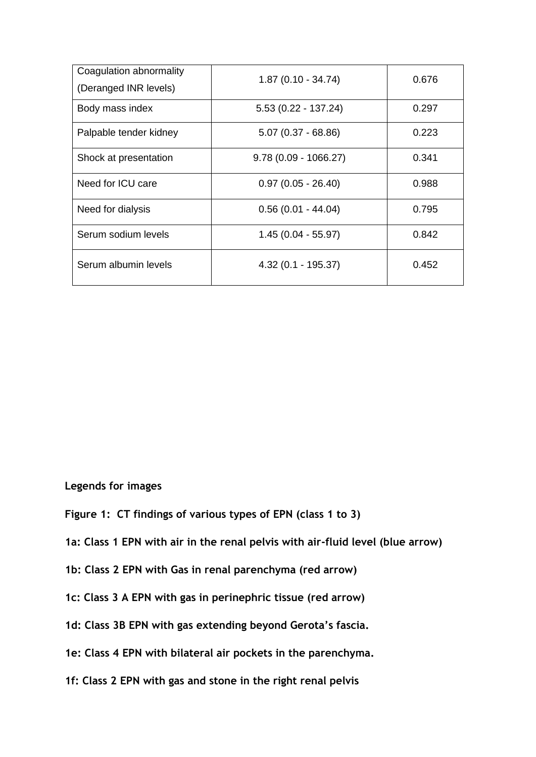| Coagulation abnormality<br>(Deranged INR levels) | $1.87(0.10 - 34.74)$   | 0.676 |
|--------------------------------------------------|------------------------|-------|
| Body mass index                                  | $5.53(0.22 - 137.24)$  | 0.297 |
| Palpable tender kidney                           | $5.07(0.37 - 68.86)$   | 0.223 |
| Shock at presentation                            | $9.78(0.09 - 1066.27)$ | 0.341 |
| Need for ICU care                                | $0.97(0.05 - 26.40)$   | 0.988 |
| Need for dialysis                                | $0.56(0.01 - 44.04)$   | 0.795 |
| Serum sodium levels                              | $1.45(0.04 - 55.97)$   | 0.842 |
| Serum albumin levels                             | $4.32(0.1 - 195.37)$   | 0.452 |

**Legends for images**

- **Figure 1: CT findings of various types of EPN (class 1 to 3)**
- **1a: Class 1 EPN with air in the renal pelvis with air-fluid level (blue arrow)**
- **1b: Class 2 EPN with Gas in renal parenchyma (red arrow)**
- **1c: Class 3 A EPN with gas in perinephric tissue (red arrow)**
- **1d: Class 3B EPN with gas extending beyond Gerota's fascia.**
- **1e: Class 4 EPN with bilateral air pockets in the parenchyma.**
- **1f: Class 2 EPN with gas and stone in the right renal pelvis**